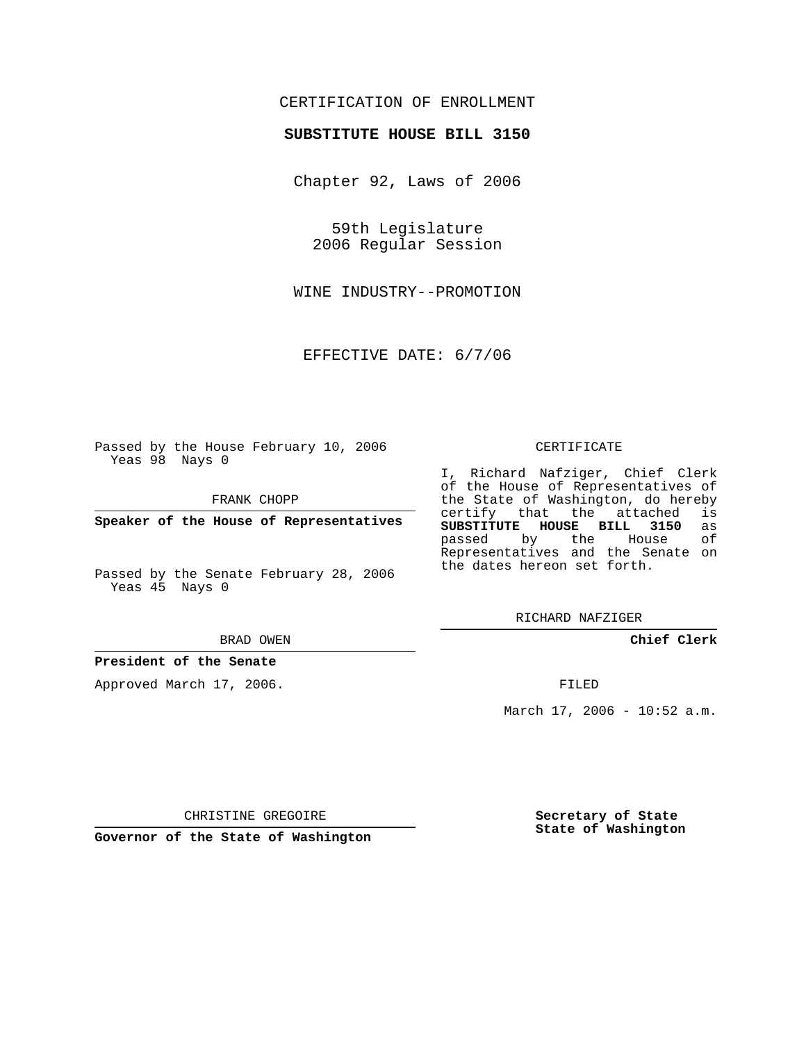## CERTIFICATION OF ENROLLMENT

#### **SUBSTITUTE HOUSE BILL 3150**

Chapter 92, Laws of 2006

59th Legislature 2006 Regular Session

WINE INDUSTRY--PROMOTION

EFFECTIVE DATE: 6/7/06

Passed by the House February 10, 2006 Yeas 98 Nays 0

FRANK CHOPP

**Speaker of the House of Representatives**

Passed by the Senate February 28, 2006 Yeas 45 Nays 0

BRAD OWEN

#### **President of the Senate**

Approved March 17, 2006.

CERTIFICATE

I, Richard Nafziger, Chief Clerk of the House of Representatives of the State of Washington, do hereby<br>certify that the attached is certify that the attached **SUBSTITUTE HOUSE BILL 3150** as passed by the Representatives and the Senate on the dates hereon set forth.

RICHARD NAFZIGER

**Chief Clerk**

FILED

March 17, 2006 - 10:52 a.m.

CHRISTINE GREGOIRE

**Governor of the State of Washington**

**Secretary of State State of Washington**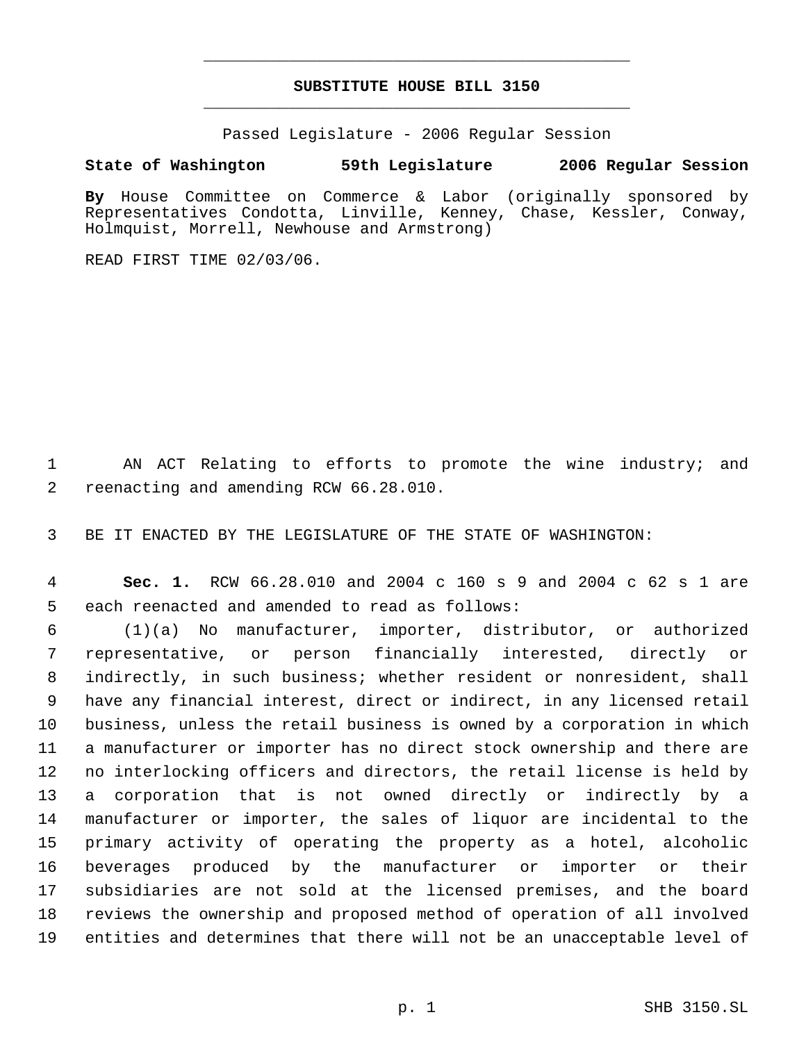# **SUBSTITUTE HOUSE BILL 3150** \_\_\_\_\_\_\_\_\_\_\_\_\_\_\_\_\_\_\_\_\_\_\_\_\_\_\_\_\_\_\_\_\_\_\_\_\_\_\_\_\_\_\_\_\_

\_\_\_\_\_\_\_\_\_\_\_\_\_\_\_\_\_\_\_\_\_\_\_\_\_\_\_\_\_\_\_\_\_\_\_\_\_\_\_\_\_\_\_\_\_

Passed Legislature - 2006 Regular Session

### **State of Washington 59th Legislature 2006 Regular Session**

**By** House Committee on Commerce & Labor (originally sponsored by Representatives Condotta, Linville, Kenney, Chase, Kessler, Conway, Holmquist, Morrell, Newhouse and Armstrong)

READ FIRST TIME 02/03/06.

 AN ACT Relating to efforts to promote the wine industry; and reenacting and amending RCW 66.28.010.

BE IT ENACTED BY THE LEGISLATURE OF THE STATE OF WASHINGTON:

 **Sec. 1.** RCW 66.28.010 and 2004 c 160 s 9 and 2004 c 62 s 1 are each reenacted and amended to read as follows:

 (1)(a) No manufacturer, importer, distributor, or authorized representative, or person financially interested, directly or indirectly, in such business; whether resident or nonresident, shall have any financial interest, direct or indirect, in any licensed retail business, unless the retail business is owned by a corporation in which a manufacturer or importer has no direct stock ownership and there are no interlocking officers and directors, the retail license is held by a corporation that is not owned directly or indirectly by a manufacturer or importer, the sales of liquor are incidental to the primary activity of operating the property as a hotel, alcoholic beverages produced by the manufacturer or importer or their subsidiaries are not sold at the licensed premises, and the board reviews the ownership and proposed method of operation of all involved entities and determines that there will not be an unacceptable level of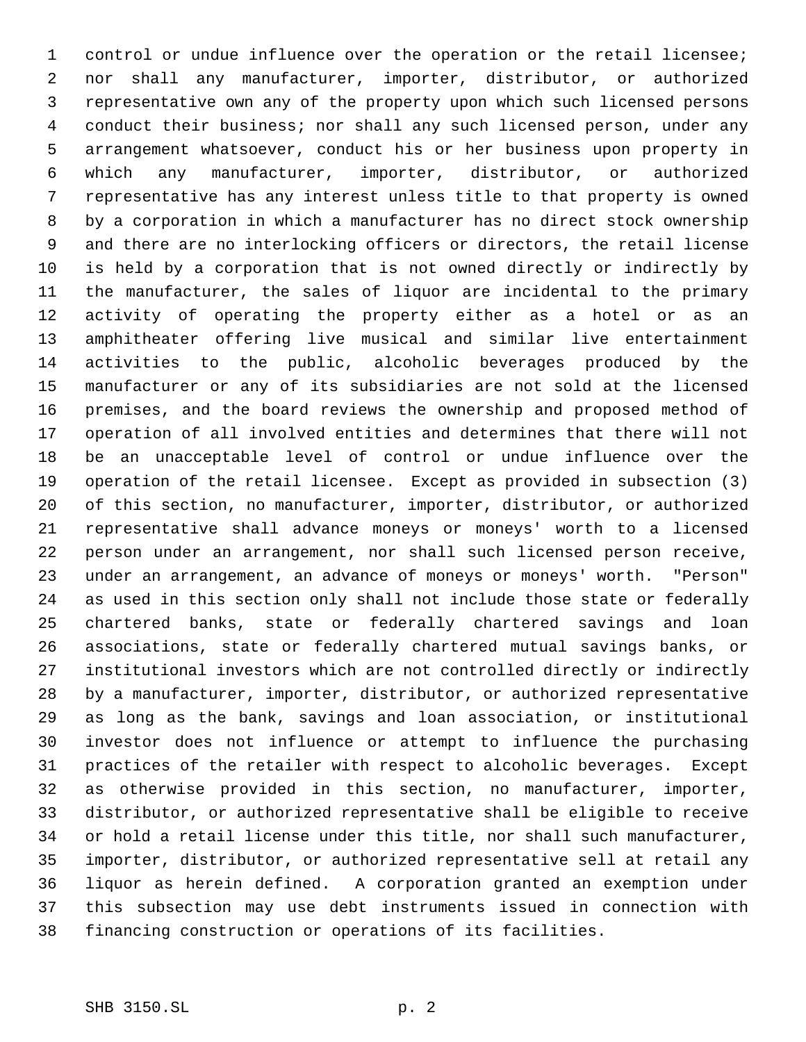control or undue influence over the operation or the retail licensee; nor shall any manufacturer, importer, distributor, or authorized representative own any of the property upon which such licensed persons conduct their business; nor shall any such licensed person, under any arrangement whatsoever, conduct his or her business upon property in which any manufacturer, importer, distributor, or authorized representative has any interest unless title to that property is owned by a corporation in which a manufacturer has no direct stock ownership and there are no interlocking officers or directors, the retail license is held by a corporation that is not owned directly or indirectly by the manufacturer, the sales of liquor are incidental to the primary activity of operating the property either as a hotel or as an amphitheater offering live musical and similar live entertainment activities to the public, alcoholic beverages produced by the manufacturer or any of its subsidiaries are not sold at the licensed premises, and the board reviews the ownership and proposed method of operation of all involved entities and determines that there will not be an unacceptable level of control or undue influence over the operation of the retail licensee. Except as provided in subsection (3) of this section, no manufacturer, importer, distributor, or authorized representative shall advance moneys or moneys' worth to a licensed person under an arrangement, nor shall such licensed person receive, under an arrangement, an advance of moneys or moneys' worth. "Person" as used in this section only shall not include those state or federally chartered banks, state or federally chartered savings and loan associations, state or federally chartered mutual savings banks, or institutional investors which are not controlled directly or indirectly by a manufacturer, importer, distributor, or authorized representative as long as the bank, savings and loan association, or institutional investor does not influence or attempt to influence the purchasing practices of the retailer with respect to alcoholic beverages. Except as otherwise provided in this section, no manufacturer, importer, distributor, or authorized representative shall be eligible to receive or hold a retail license under this title, nor shall such manufacturer, importer, distributor, or authorized representative sell at retail any liquor as herein defined. A corporation granted an exemption under this subsection may use debt instruments issued in connection with financing construction or operations of its facilities.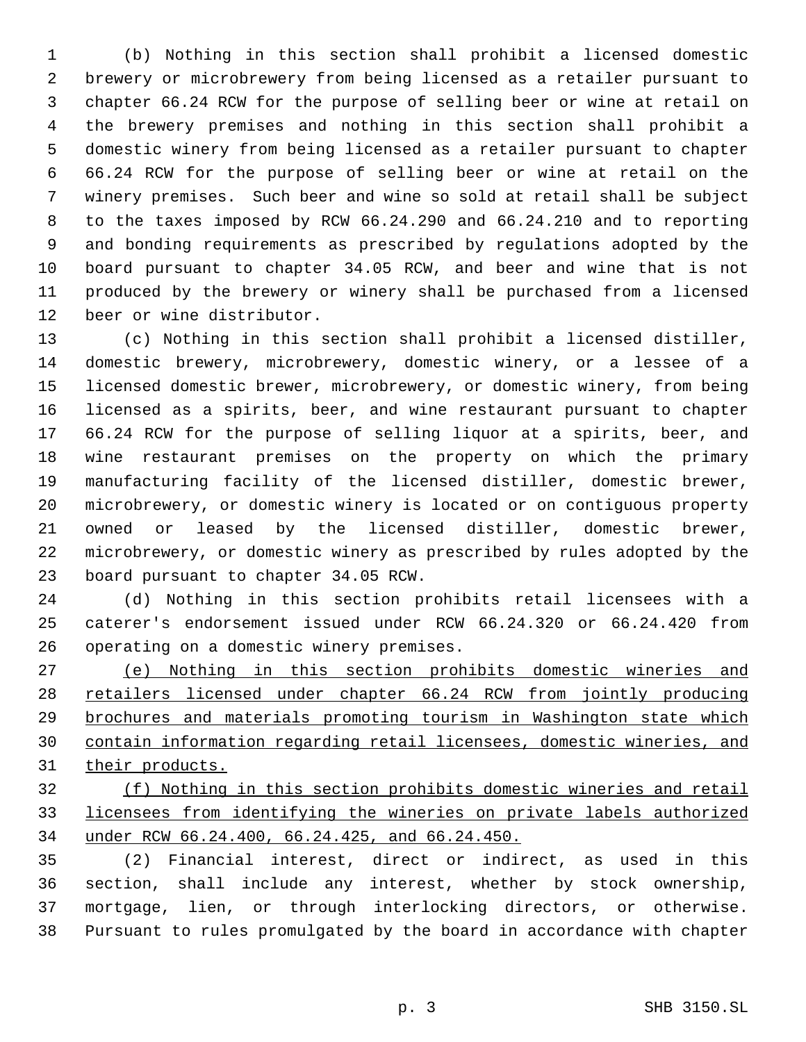(b) Nothing in this section shall prohibit a licensed domestic brewery or microbrewery from being licensed as a retailer pursuant to chapter 66.24 RCW for the purpose of selling beer or wine at retail on the brewery premises and nothing in this section shall prohibit a domestic winery from being licensed as a retailer pursuant to chapter 66.24 RCW for the purpose of selling beer or wine at retail on the winery premises. Such beer and wine so sold at retail shall be subject to the taxes imposed by RCW 66.24.290 and 66.24.210 and to reporting and bonding requirements as prescribed by regulations adopted by the board pursuant to chapter 34.05 RCW, and beer and wine that is not produced by the brewery or winery shall be purchased from a licensed beer or wine distributor.

 (c) Nothing in this section shall prohibit a licensed distiller, domestic brewery, microbrewery, domestic winery, or a lessee of a licensed domestic brewer, microbrewery, or domestic winery, from being licensed as a spirits, beer, and wine restaurant pursuant to chapter 66.24 RCW for the purpose of selling liquor at a spirits, beer, and wine restaurant premises on the property on which the primary manufacturing facility of the licensed distiller, domestic brewer, microbrewery, or domestic winery is located or on contiguous property owned or leased by the licensed distiller, domestic brewer, microbrewery, or domestic winery as prescribed by rules adopted by the board pursuant to chapter 34.05 RCW.

 (d) Nothing in this section prohibits retail licensees with a caterer's endorsement issued under RCW 66.24.320 or 66.24.420 from operating on a domestic winery premises.

 (e) Nothing in this section prohibits domestic wineries and 28 retailers licensed under chapter 66.24 RCW from jointly producing brochures and materials promoting tourism in Washington state which contain information regarding retail licensees, domestic wineries, and 31 their products.

 (f) Nothing in this section prohibits domestic wineries and retail licensees from identifying the wineries on private labels authorized under RCW 66.24.400, 66.24.425, and 66.24.450.

 (2) Financial interest, direct or indirect, as used in this section, shall include any interest, whether by stock ownership, mortgage, lien, or through interlocking directors, or otherwise. Pursuant to rules promulgated by the board in accordance with chapter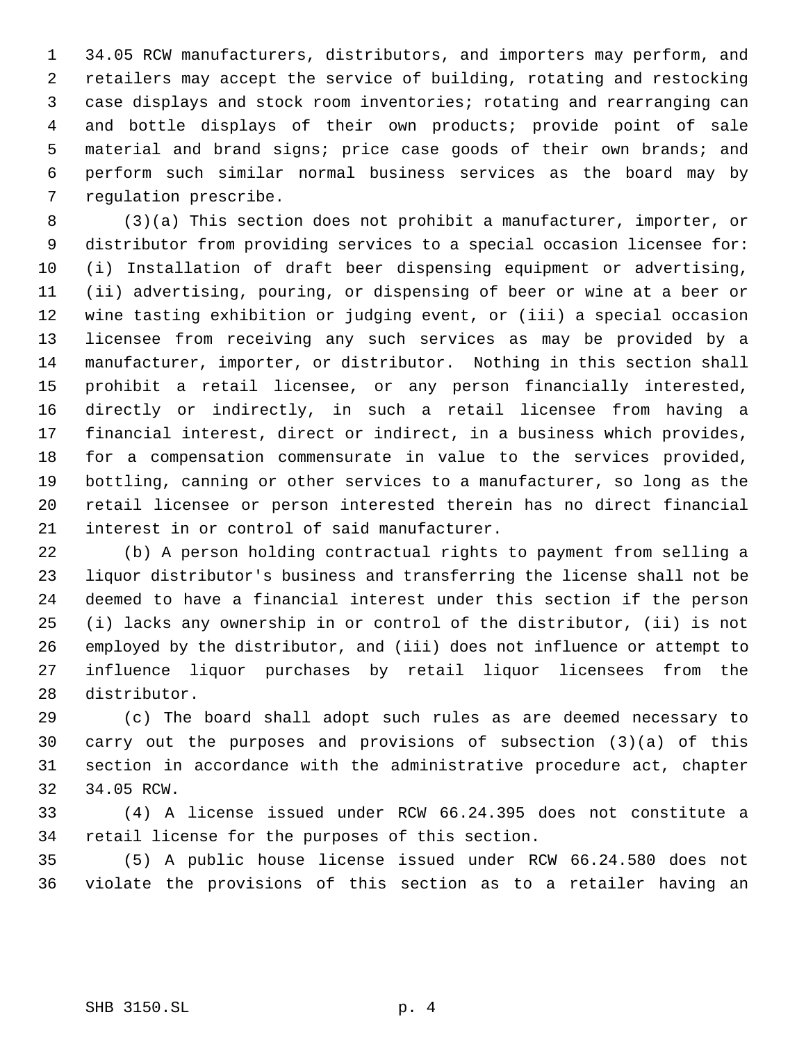34.05 RCW manufacturers, distributors, and importers may perform, and retailers may accept the service of building, rotating and restocking case displays and stock room inventories; rotating and rearranging can and bottle displays of their own products; provide point of sale material and brand signs; price case goods of their own brands; and perform such similar normal business services as the board may by regulation prescribe.

 (3)(a) This section does not prohibit a manufacturer, importer, or distributor from providing services to a special occasion licensee for: (i) Installation of draft beer dispensing equipment or advertising, (ii) advertising, pouring, or dispensing of beer or wine at a beer or wine tasting exhibition or judging event, or (iii) a special occasion licensee from receiving any such services as may be provided by a manufacturer, importer, or distributor. Nothing in this section shall prohibit a retail licensee, or any person financially interested, directly or indirectly, in such a retail licensee from having a financial interest, direct or indirect, in a business which provides, for a compensation commensurate in value to the services provided, bottling, canning or other services to a manufacturer, so long as the retail licensee or person interested therein has no direct financial interest in or control of said manufacturer.

 (b) A person holding contractual rights to payment from selling a liquor distributor's business and transferring the license shall not be deemed to have a financial interest under this section if the person (i) lacks any ownership in or control of the distributor, (ii) is not employed by the distributor, and (iii) does not influence or attempt to influence liquor purchases by retail liquor licensees from the distributor.

 (c) The board shall adopt such rules as are deemed necessary to carry out the purposes and provisions of subsection (3)(a) of this section in accordance with the administrative procedure act, chapter 34.05 RCW.

 (4) A license issued under RCW 66.24.395 does not constitute a retail license for the purposes of this section.

 (5) A public house license issued under RCW 66.24.580 does not violate the provisions of this section as to a retailer having an